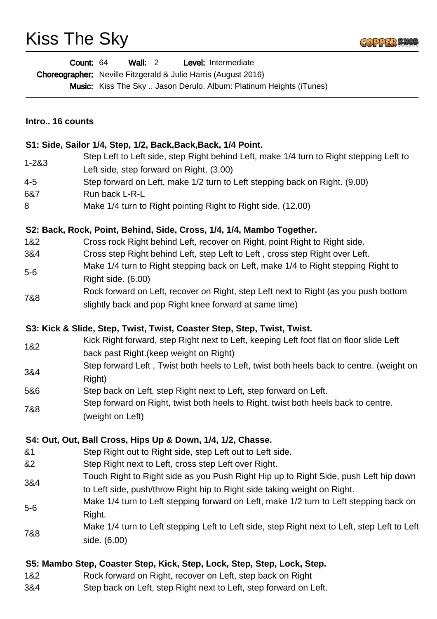# Kiss The Sky



| Wall: $2$<br>Count: 64<br>Level: Intermediate<br>Choreographer: Neville Fitzgerald & Julie Harris (August 2016)<br>Music: Kiss The Sky  Jason Derulo. Album: Platinum Heights (iTunes) |                                                                                                              |
|----------------------------------------------------------------------------------------------------------------------------------------------------------------------------------------|--------------------------------------------------------------------------------------------------------------|
| Intro 16 counts                                                                                                                                                                        |                                                                                                              |
| S1: Side, Sailor 1/4, Step, 1/2, Back, Back, Back, 1/4 Point.                                                                                                                          |                                                                                                              |
| $1 - 283$                                                                                                                                                                              | Step Left to Left side, step Right behind Left, make 1/4 turn to Right stepping Left to                      |
|                                                                                                                                                                                        | Left side, step forward on Right. (3.00)                                                                     |
| $4 - 5$                                                                                                                                                                                | Step forward on Left, make 1/2 turn to Left stepping back on Right. (9.00)                                   |
| 6&7                                                                                                                                                                                    | Run back L-R-L                                                                                               |
| 8                                                                                                                                                                                      | Make 1/4 turn to Right pointing Right to Right side. (12.00)                                                 |
|                                                                                                                                                                                        | S2: Back, Rock, Point, Behind, Side, Cross, 1/4, 1/4, Mambo Together.                                        |
| 1&2                                                                                                                                                                                    | Cross rock Right behind Left, recover on Right, point Right to Right side.                                   |
| 3&4                                                                                                                                                                                    | Cross step Right behind Left, step Left to Left, cross step Right over Left.                                 |
| $5-6$                                                                                                                                                                                  | Make 1/4 turn to Right stepping back on Left, make 1/4 to Right stepping Right to                            |
|                                                                                                                                                                                        | Right side. (6.00)                                                                                           |
| 7&8                                                                                                                                                                                    | Rock forward on Left, recover on Right, step Left next to Right (as you push bottom                          |
|                                                                                                                                                                                        | slightly back and pop Right knee forward at same time)                                                       |
|                                                                                                                                                                                        | S3: Kick & Slide, Step, Twist, Twist, Coaster Step, Step, Twist, Twist.                                      |
| 1&2                                                                                                                                                                                    | Kick Right forward, step Right next to Left, keeping Left foot flat on floor slide Left                      |
|                                                                                                                                                                                        | back past Right. (keep weight on Right)                                                                      |
| 3&4                                                                                                                                                                                    | Step forward Left, Twist both heels to Left, twist both heels back to centre. (weight on                     |
|                                                                                                                                                                                        | Right)                                                                                                       |
| 5&6                                                                                                                                                                                    | Step back on Left, step Right next to Left, step forward on Left.                                            |
|                                                                                                                                                                                        | Step forward on Right, twist both heels to Right, twist both heels back to centre.                           |
| 7&8                                                                                                                                                                                    | (weight on Left)                                                                                             |
|                                                                                                                                                                                        |                                                                                                              |
| 81                                                                                                                                                                                     | S4: Out, Out, Ball Cross, Hips Up & Down, 1/4, 1/2, Chasse.                                                  |
|                                                                                                                                                                                        | Step Right out to Right side, step Left out to Left side.                                                    |
| &2                                                                                                                                                                                     | Step Right next to Left, cross step Left over Right.                                                         |
| 3&4                                                                                                                                                                                    | Touch Right to Right side as you Push Right Hip up to Right Side, push Left hip down                         |
|                                                                                                                                                                                        | to Left side, push/throw Right hip to Right side taking weight on Right.                                     |
| $5-6$                                                                                                                                                                                  | Make 1/4 turn to Left stepping forward on Left, make 1/2 turn to Left stepping back on                       |
|                                                                                                                                                                                        | Right.                                                                                                       |
| 7&8                                                                                                                                                                                    | Make 1/4 turn to Left stepping Left to Left side, step Right next to Left, step Left to Left<br>side. (6.00) |
|                                                                                                                                                                                        | S5: Mambo Step, Coaster Step, Kick, Step, Lock, Step, Step, Lock, Step.                                      |
| 1&2                                                                                                                                                                                    | Rock forward on Right, recover on Left, step back on Right                                                   |

3&4 Step back on Left, step Right next to Left, step forward on Left.